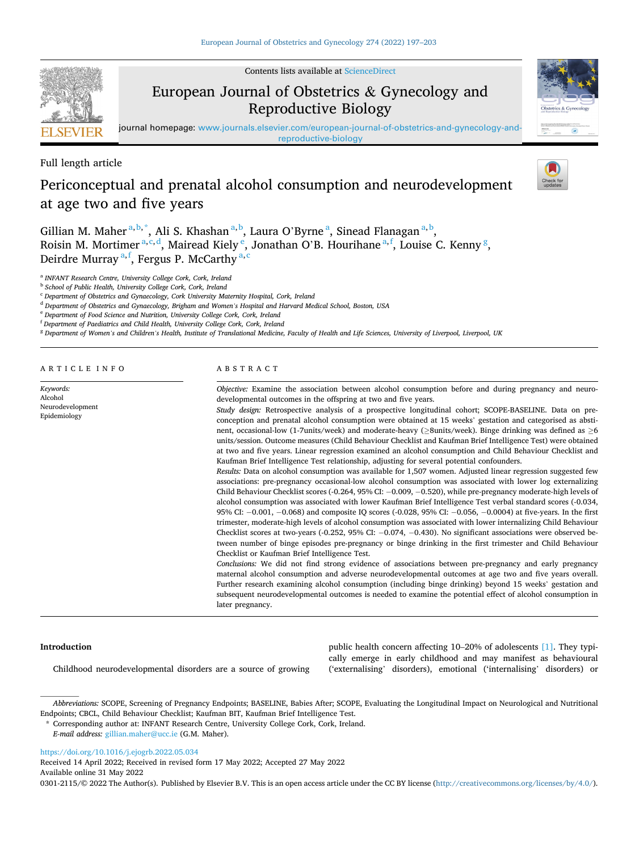Contents lists available at [ScienceDirect](www.sciencedirect.com/science/journal/03012115)

# European Journal of Obstetrics & Gynecology and Reproductive Biology

journal homepage: [www.journals.elsevier.com/european-journal-of-obstetrics-and-gynecology-and](https://www.journals.elsevier.com/european-journal-of-obstetrics-and-gynecology-and-reproductive-biology)[reproductive-biology](https://www.journals.elsevier.com/european-journal-of-obstetrics-and-gynecology-and-reproductive-biology)

Full length article

# Periconceptual and prenatal alcohol consumption and neurodevelopment at age two and five years

Gillian M. Maher<sup>a, b,\*</sup>, Ali S. Khashan<sup>a, b</sup>, Laura O'Byrne<sup>a</sup>, Sinead Flanagan<sup>a, b</sup>, Roisin M. Mortimer<sup>a, c, d</sup>, Mairead Kiely <sup>e</sup>, Jonathan O'B. Hourihane<sup>a, f</sup>, Louise C. Kenny <sup>g</sup>, Deirdre Murray <sup>a, f</sup>, Fergus P. McCarthy <sup>a, c</sup>

<sup>a</sup> *INFANT Research Centre, University College Cork, Cork, Ireland* 

<sup>b</sup> *School of Public Health, University College Cork, Cork, Ireland* 

<sup>c</sup> *Department of Obstetrics and Gynaecology, Cork University Maternity Hospital, Cork, Ireland* 

<sup>e</sup> *Department of Food Science and Nutrition, University College Cork, Cork, Ireland* 

<sup>f</sup> *Department of Paediatrics and Child Health, University College Cork, Cork, Ireland* 

<sup>g</sup> *Department of Women's and Children's Health, Institute of Translational Medicine, Faculty of Health and Life Sciences, University of Liverpool, Liverpool, UK* 

ARTICLE INFO

*Keywords:*  Alcohol Neurodevelopment Epidemiology

## ABSTRACT

*Objective:* Examine the association between alcohol consumption before and during pregnancy and neurodevelopmental outcomes in the offspring at two and five years.

*Study design:* Retrospective analysis of a prospective longitudinal cohort; SCOPE-BASELINE. Data on preconception and prenatal alcohol consumption were obtained at 15 weeks' gestation and categorised as abstinent, occasional-low (1-7units/week) and moderate-heavy (≥8units/week). Binge drinking was defined as ≥6 units/session. Outcome measures (Child Behaviour Checklist and Kaufman Brief Intelligence Test) were obtained at two and five years. Linear regression examined an alcohol consumption and Child Behaviour Checklist and Kaufman Brief Intelligence Test relationship, adjusting for several potential confounders.

*Results:* Data on alcohol consumption was available for 1,507 women. Adjusted linear regression suggested few associations: pre-pregnancy occasional-low alcohol consumption was associated with lower log externalizing Child Behaviour Checklist scores (-0.264, 95% CI: − 0.009, − 0.520), while pre-pregnancy moderate-high levels of alcohol consumption was associated with lower Kaufman Brief Intelligence Test verbal standard scores (-0.034, 95% CI: − 0.001, − 0.068) and composite IQ scores (-0.028, 95% CI: − 0.056, − 0.0004) at five-years. In the first trimester, moderate-high levels of alcohol consumption was associated with lower internalizing Child Behaviour Checklist scores at two-years (-0.252, 95% CI: − 0.074, − 0.430). No significant associations were observed between number of binge episodes pre-pregnancy or binge drinking in the first trimester and Child Behaviour Checklist or Kaufman Brief Intelligence Test.

*Conclusions:* We did not find strong evidence of associations between pre-pregnancy and early pregnancy maternal alcohol consumption and adverse neurodevelopmental outcomes at age two and five years overall. Further research examining alcohol consumption (including binge drinking) beyond 15 weeks' gestation and subsequent neurodevelopmental outcomes is needed to examine the potential effect of alcohol consumption in later pregnancy.

> public health concern affecting 10–20% of adolescents [\[1\]](#page-6-0). They typically emerge in early childhood and may manifest as behavioural ('externalising' disorders), emotional ('internalising' disorders) or

## **Introduction**

Childhood neurodevelopmental disorders are a source of growing

*Abbreviations:* SCOPE, Screening of Pregnancy Endpoints; BASELINE, Babies After; SCOPE, Evaluating the Longitudinal Impact on Neurological and Nutritional Endpoints; CBCL, Child Behaviour Checklist; Kaufman BIT, Kaufman Brief Intelligence Test.

*E-mail address:* [gillian.maher@ucc.ie](mailto:gillian.maher@ucc.ie) (G.M. Maher).

<https://doi.org/10.1016/j.ejogrb.2022.05.034>

Available online 31 May 2022 Received 14 April 2022; Received in revised form 17 May 2022; Accepted 27 May 2022

0301-2115/© 2022 The Author(s). Published by Elsevier B.V. This is an open access article under the CC BY license [\(http://creativecommons.org/licenses/by/4.0/\)](http://creativecommons.org/licenses/by/4.0/).









<sup>d</sup> *Department of Obstetrics and Gynaecology, Brigham and Women's Hospital and Harvard Medical School, Boston, USA* 

<sup>\*</sup> Corresponding author at: INFANT Research Centre, University College Cork, Cork, Ireland.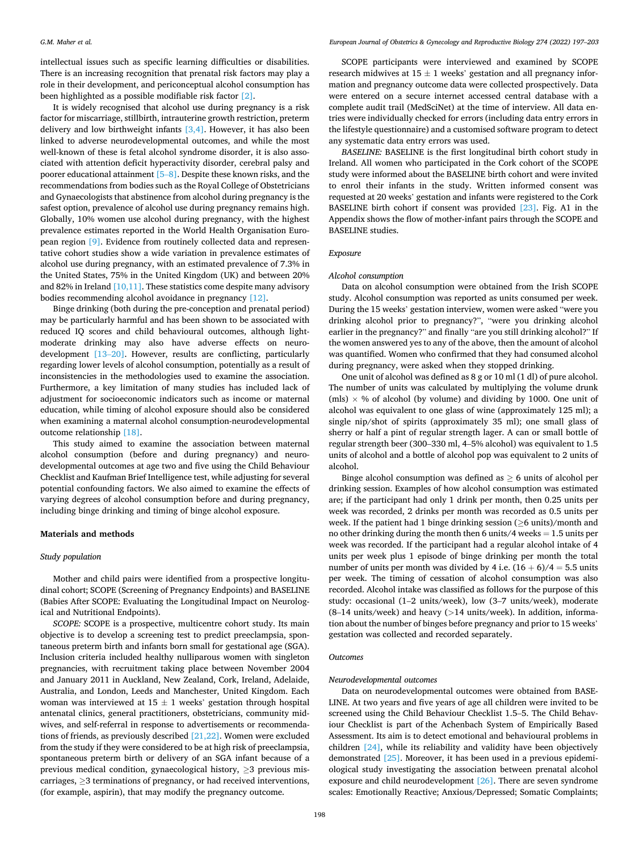intellectual issues such as specific learning difficulties or disabilities. There is an increasing recognition that prenatal risk factors may play a role in their development, and periconceptual alcohol consumption has been highlighted as a possible modifiable risk factor [\[2\].](#page-6-0)

It is widely recognised that alcohol use during pregnancy is a risk factor for miscarriage, stillbirth, intrauterine growth restriction, preterm delivery and low birthweight infants  $[3,4]$ . However, it has also been linked to adverse neurodevelopmental outcomes, and while the most well-known of these is fetal alcohol syndrome disorder, it is also associated with attention deficit hyperactivity disorder, cerebral palsy and poorer educational attainment [5–[8\]](#page-6-0). Despite these known risks, and the recommendations from bodies such as the Royal College of Obstetricians and Gynaecologists that abstinence from alcohol during pregnancy is the safest option, prevalence of alcohol use during pregnancy remains high. Globally, 10% women use alcohol during pregnancy, with the highest prevalence estimates reported in the World Health Organisation European region [\[9\].](#page-6-0) Evidence from routinely collected data and representative cohort studies show a wide variation in prevalence estimates of alcohol use during pregnancy, with an estimated prevalence of 7.3% in the United States, 75% in the United Kingdom (UK) and between 20% and 82% in Ireland  $[10,11]$ . These statistics come despite many advisory bodies recommending alcohol avoidance in pregnancy [\[12\]](#page-6-0).

Binge drinking (both during the pre-conception and prenatal period) may be particularly harmful and has been shown to be associated with reduced IQ scores and child behavioural outcomes, although lightmoderate drinking may also have adverse effects on neurodevelopment [\[13](#page-6-0)–20]. However, results are conflicting, particularly regarding lower levels of alcohol consumption, potentially as a result of inconsistencies in the methodologies used to examine the association. Furthermore, a key limitation of many studies has included lack of adjustment for socioeconomic indicators such as income or maternal education, while timing of alcohol exposure should also be considered when examining a maternal alcohol consumption-neurodevelopmental outcome relationship [\[18\]](#page-6-0).

This study aimed to examine the association between maternal alcohol consumption (before and during pregnancy) and neurodevelopmental outcomes at age two and five using the Child Behaviour Checklist and Kaufman Brief Intelligence test, while adjusting for several potential confounding factors. We also aimed to examine the effects of varying degrees of alcohol consumption before and during pregnancy, including binge drinking and timing of binge alcohol exposure.

## **Materials and methods**

## *Study population*

Mother and child pairs were identified from a prospective longitudinal cohort; SCOPE (Screening of Pregnancy Endpoints) and BASELINE (Babies After SCOPE: Evaluating the Longitudinal Impact on Neurological and Nutritional Endpoints).

*SCOPE:* SCOPE is a prospective, multicentre cohort study. Its main objective is to develop a screening test to predict preeclampsia, spontaneous preterm birth and infants born small for gestational age (SGA). Inclusion criteria included healthy nulliparous women with singleton pregnancies, with recruitment taking place between November 2004 and January 2011 in Auckland, New Zealand, Cork, Ireland, Adelaide, Australia, and London, Leeds and Manchester, United Kingdom. Each woman was interviewed at  $15 \pm 1$  weeks' gestation through hospital antenatal clinics, general practitioners, obstetricians, community midwives, and self-referral in response to advertisements or recommendations of friends, as previously described [\[21,22\].](#page-6-0) Women were excluded from the study if they were considered to be at high risk of preeclampsia, spontaneous preterm birth or delivery of an SGA infant because of a previous medical condition, gynaecological history,  $\geq$ 3 previous miscarriages, ≥3 terminations of pregnancy, or had received interventions, (for example, aspirin), that may modify the pregnancy outcome.

SCOPE participants were interviewed and examined by SCOPE research midwives at  $15 \pm 1$  weeks' gestation and all pregnancy information and pregnancy outcome data were collected prospectively. Data were entered on a secure internet accessed central database with a complete audit trail (MedSciNet) at the time of interview. All data entries were individually checked for errors (including data entry errors in the lifestyle questionnaire) and a customised software program to detect any systematic data entry errors was used.

*BASELINE:* BASELINE is the first longitudinal birth cohort study in Ireland. All women who participated in the Cork cohort of the SCOPE study were informed about the BASELINE birth cohort and were invited to enrol their infants in the study. Written informed consent was requested at 20 weeks' gestation and infants were registered to the Cork BASELINE birth cohort if consent was provided [\[23\]](#page-6-0). Fig. A1 in the Appendix shows the flow of mother-infant pairs through the SCOPE and BASELINE studies.

#### *Exposure*

## *Alcohol consumption*

Data on alcohol consumption were obtained from the Irish SCOPE study. Alcohol consumption was reported as units consumed per week. During the 15 weeks' gestation interview, women were asked "were you drinking alcohol prior to pregnancy?", "were you drinking alcohol earlier in the pregnancy?" and finally "are you still drinking alcohol?" If the women answered yes to any of the above, then the amount of alcohol was quantified. Women who confirmed that they had consumed alcohol during pregnancy, were asked when they stopped drinking.

One unit of alcohol was defined as 8 g or 10 ml (1 dl) of pure alcohol. The number of units was calculated by multiplying the volume drunk (mls)  $\times$  % of alcohol (by volume) and dividing by 1000. One unit of alcohol was equivalent to one glass of wine (approximately 125 ml); a single nip/shot of spirits (approximately 35 ml); one small glass of sherry or half a pint of regular strength lager. A can or small bottle of regular strength beer (300–330 ml, 4–5% alcohol) was equivalent to 1.5 units of alcohol and a bottle of alcohol pop was equivalent to 2 units of alcohol.

Binge alcohol consumption was defined as  $\geq 6$  units of alcohol per drinking session. Examples of how alcohol consumption was estimated are; if the participant had only 1 drink per month, then 0.25 units per week was recorded, 2 drinks per month was recorded as 0.5 units per week. If the patient had 1 binge drinking session (≥6 units)/month and no other drinking during the month then 6 units/4 weeks  $= 1.5$  units per week was recorded. If the participant had a regular alcohol intake of 4 units per week plus 1 episode of binge drinking per month the total number of units per month was divided by 4 i.e.  $(16 + 6)/4 = 5.5$  units per week. The timing of cessation of alcohol consumption was also recorded. Alcohol intake was classified as follows for the purpose of this study: occasional (1–2 units/week), low (3–7 units/week), moderate (8–14 units/week) and heavy (*>*14 units/week). In addition, information about the number of binges before pregnancy and prior to 15 weeks' gestation was collected and recorded separately.

#### *Outcomes*

## *Neurodevelopmental outcomes*

Data on neurodevelopmental outcomes were obtained from BASE-LINE. At two years and five years of age all children were invited to be screened using the Child Behaviour Checklist 1.5–5. The Child Behaviour Checklist is part of the Achenbach System of Empirically Based Assessment. Its aim is to detect emotional and behavioural problems in children [\[24\],](#page-6-0) while its reliability and validity have been objectively demonstrated [\[25\]](#page-6-0). Moreover, it has been used in a previous epidemiological study investigating the association between prenatal alcohol exposure and child neurodevelopment [\[26\]](#page-6-0). There are seven syndrome scales: Emotionally Reactive; Anxious/Depressed; Somatic Complaints;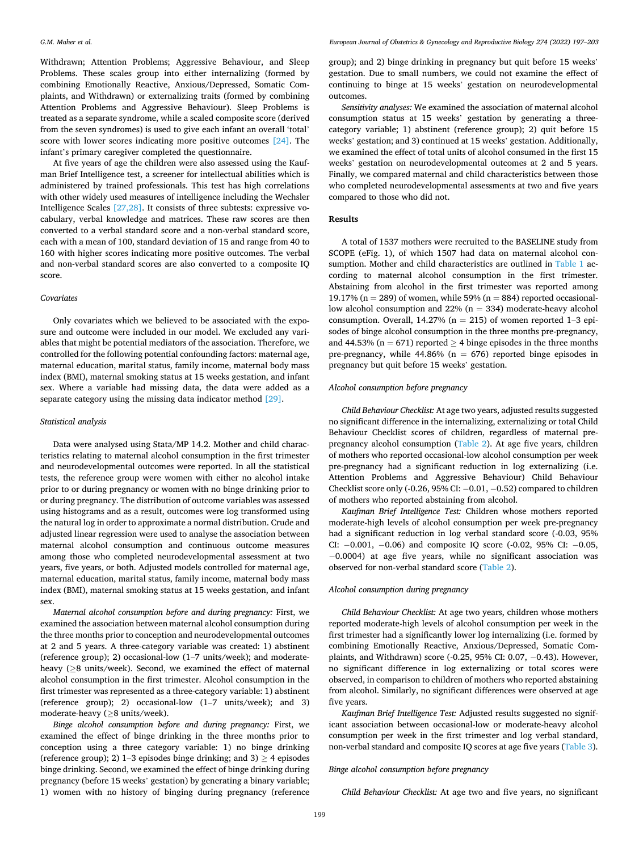Withdrawn; Attention Problems; Aggressive Behaviour, and Sleep Problems. These scales group into either internalizing (formed by combining Emotionally Reactive, Anxious/Depressed, Somatic Complaints, and Withdrawn) or externalizing traits (formed by combining Attention Problems and Aggressive Behaviour). Sleep Problems is treated as a separate syndrome, while a scaled composite score (derived from the seven syndromes) is used to give each infant an overall 'total' score with lower scores indicating more positive outcomes [\[24\].](#page-6-0) The infant's primary caregiver completed the questionnaire.

At five years of age the children were also assessed using the Kaufman Brief Intelligence test, a screener for intellectual abilities which is administered by trained professionals. This test has high correlations with other widely used measures of intelligence including the Wechsler Intelligence Scales  $[27,28]$ . It consists of three subtests: expressive vocabulary, verbal knowledge and matrices. These raw scores are then converted to a verbal standard score and a non-verbal standard score, each with a mean of 100, standard deviation of 15 and range from 40 to 160 with higher scores indicating more positive outcomes. The verbal and non-verbal standard scores are also converted to a composite IQ score.

#### *Covariates*

Only covariates which we believed to be associated with the exposure and outcome were included in our model. We excluded any variables that might be potential mediators of the association. Therefore, we controlled for the following potential confounding factors: maternal age, maternal education, marital status, family income, maternal body mass index (BMI), maternal smoking status at 15 weeks gestation, and infant sex. Where a variable had missing data, the data were added as a separate category using the missing data indicator method [\[29\].](#page-6-0)

## *Statistical analysis*

Data were analysed using Stata/MP 14.2. Mother and child characteristics relating to maternal alcohol consumption in the first trimester and neurodevelopmental outcomes were reported. In all the statistical tests, the reference group were women with either no alcohol intake prior to or during pregnancy or women with no binge drinking prior to or during pregnancy. The distribution of outcome variables was assessed using histograms and as a result, outcomes were log transformed using the natural log in order to approximate a normal distribution. Crude and adjusted linear regression were used to analyse the association between maternal alcohol consumption and continuous outcome measures among those who completed neurodevelopmental assessment at two years, five years, or both. Adjusted models controlled for maternal age, maternal education, marital status, family income, maternal body mass index (BMI), maternal smoking status at 15 weeks gestation, and infant sex.

*Maternal alcohol consumption before and during pregnancy:* First, we examined the association between maternal alcohol consumption during the three months prior to conception and neurodevelopmental outcomes at 2 and 5 years. A three-category variable was created: 1) abstinent (reference group); 2) occasional-low (1–7 units/week); and moderateheavy (≥8 units/week). Second, we examined the effect of maternal alcohol consumption in the first trimester. Alcohol consumption in the first trimester was represented as a three-category variable: 1) abstinent (reference group); 2) occasional-low (1–7 units/week); and 3) moderate-heavy ( $\geq$ 8 units/week).

*Binge alcohol consumption before and during pregnancy:* First, we examined the effect of binge drinking in the three months prior to conception using a three category variable: 1) no binge drinking (reference group); 2) 1–3 episodes binge drinking; and 3)  $\geq$  4 episodes binge drinking. Second, we examined the effect of binge drinking during pregnancy (before 15 weeks' gestation) by generating a binary variable; 1) women with no history of binging during pregnancy (reference group); and 2) binge drinking in pregnancy but quit before 15 weeks' gestation. Due to small numbers, we could not examine the effect of continuing to binge at 15 weeks' gestation on neurodevelopmental outcomes.

*Sensitivity analyses:* We examined the association of maternal alcohol consumption status at 15 weeks' gestation by generating a threecategory variable; 1) abstinent (reference group); 2) quit before 15 weeks' gestation; and 3) continued at 15 weeks' gestation. Additionally, we examined the effect of total units of alcohol consumed in the first 15 weeks' gestation on neurodevelopmental outcomes at 2 and 5 years. Finally, we compared maternal and child characteristics between those who completed neurodevelopmental assessments at two and five years compared to those who did not.

## **Results**

A total of 1537 mothers were recruited to the BASELINE study from SCOPE (eFig. 1), of which 1507 had data on maternal alcohol consumption. Mother and child characteristics are outlined in [Table 1](#page-3-0) according to maternal alcohol consumption in the first trimester. Abstaining from alcohol in the first trimester was reported among 19.17% ( $n = 289$ ) of women, while 59% ( $n = 884$ ) reported occasionallow alcohol consumption and 22% (n = 334) moderate-heavy alcohol consumption. Overall,  $14.27\%$  (n = 215) of women reported 1–3 episodes of binge alcohol consumption in the three months pre-pregnancy, and 44.53% ( $n = 671$ ) reported  $\geq$  4 binge episodes in the three months pre-pregnancy, while  $44.86\%$  (n = 676) reported binge episodes in pregnancy but quit before 15 weeks' gestation.

## *Alcohol consumption before pregnancy*

*Child Behaviour Checklist:* At age two years, adjusted results suggested no significant difference in the internalizing, externalizing or total Child Behaviour Checklist scores of children, regardless of maternal prepregnancy alcohol consumption ([Table 2\)](#page-3-0). At age five years, children of mothers who reported occasional-low alcohol consumption per week pre-pregnancy had a significant reduction in log externalizing (i.e. Attention Problems and Aggressive Behaviour) Child Behaviour Checklist score only (-0.26, 95% CI: − 0.01, − 0.52) compared to children of mothers who reported abstaining from alcohol.

*Kaufman Brief Intelligence Test:* Children whose mothers reported moderate-high levels of alcohol consumption per week pre-pregnancy had a significant reduction in log verbal standard score (-0.03, 95% CI: −0.001, −0.06) and composite IQ score (-0.02, 95% CI: −0.05, − 0.0004) at age five years, while no significant association was observed for non-verbal standard score [\(Table 2](#page-3-0)).

## *Alcohol consumption during pregnancy*

*Child Behaviour Checklist:* At age two years, children whose mothers reported moderate-high levels of alcohol consumption per week in the first trimester had a significantly lower log internalizing (i.e. formed by combining Emotionally Reactive, Anxious/Depressed, Somatic Complaints, and Withdrawn) score (-0.25, 95% CI: 0.07, − 0.43). However, no significant difference in log externalizing or total scores were observed, in comparison to children of mothers who reported abstaining from alcohol. Similarly, no significant differences were observed at age five years.

*Kaufman Brief Intelligence Test:* Adjusted results suggested no significant association between occasional-low or moderate-heavy alcohol consumption per week in the first trimester and log verbal standard, non-verbal standard and composite IQ scores at age five years ([Table 3](#page-4-0)).

## *Binge alcohol consumption before pregnancy*

*Child Behaviour Checklist:* At age two and five years, no significant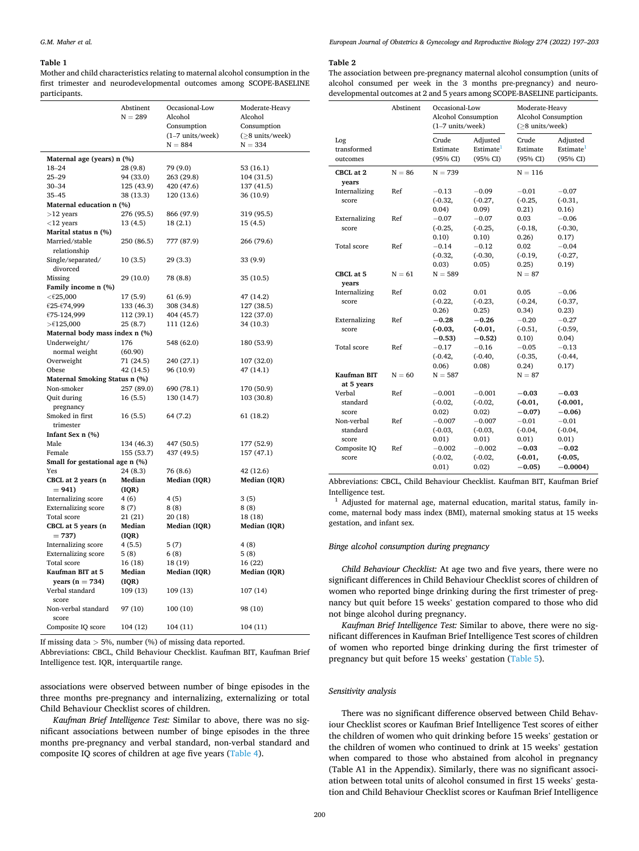#### <span id="page-3-0"></span>**Table 1**

Mother and child characteristics relating to maternal alcohol consumption in the first trimester and neurodevelopmental outcomes among SCOPE-BASELINE participants.

|                                        | Abstinent<br>$N = 289$ | Occasional-Low<br>Alcohol<br>Consumption<br>(1-7 units/week) | Moderate-Heavy<br>Alcohol<br>Consumption<br>$(\geq 8$ units/week) |  |  |
|----------------------------------------|------------------------|--------------------------------------------------------------|-------------------------------------------------------------------|--|--|
|                                        |                        | $N = 884$                                                    | $N = 334$                                                         |  |  |
| Maternal age (years) n (%)             |                        |                                                              |                                                                   |  |  |
| $18 - 24$                              | 28 (9.8)               | 79 (9.0)                                                     | 53 (16.1)                                                         |  |  |
| $25 - 29$                              | 94 (33.0)              | 263 (29.8)                                                   | 104 (31.5)                                                        |  |  |
| $30 - 34$                              | 125 (43.9)             | 420 (47.6)                                                   | 137 (41.5)                                                        |  |  |
| $35 - 45$                              | 38 (13.3)              | 120 (13.6)                                                   | 36 (10.9)                                                         |  |  |
| Maternal education n (%)               |                        |                                                              |                                                                   |  |  |
| $>12$ years                            | 276 (95.5)             | 866 (97.9)                                                   | 319 (95.5)                                                        |  |  |
| $<$ 12 years                           | 13 (4.5)               | 18(2.1)                                                      | 15 (4.5)                                                          |  |  |
| Marital status n (%)<br>Married/stable |                        |                                                              |                                                                   |  |  |
| relationship                           | 250 (86.5)             | 777 (87.9)                                                   | 266 (79.6)                                                        |  |  |
| Single/separated/                      | 10(3.5)                | 29 (3.3)                                                     | 33 (9.9)                                                          |  |  |
| divorced                               |                        |                                                              |                                                                   |  |  |
| Missing                                | 29 (10.0)              | 78 (8.8)                                                     | 35 (10.5)                                                         |  |  |
| Family income n (%)                    |                        |                                                              |                                                                   |  |  |
| $<$ $\epsilon$ 25,000                  | 17 (5.9)               | 61 (6.9)                                                     | 47 (14.2)                                                         |  |  |
| €25-€74,999                            | 133 (46.3)             | 308 (34.8)                                                   | 127 (38.5)                                                        |  |  |
| €75-124,999                            | 112 (39.1)             | 404 (45.7)                                                   | 122 (37.0)                                                        |  |  |
| $>\epsilon$ 125,000                    | 25(8.7)                | 111 (12.6)                                                   | 34 (10.3)                                                         |  |  |
| Maternal body mass index n (%)         |                        |                                                              |                                                                   |  |  |
| Underweight/                           | 176                    | 548 (62.0)                                                   | 180 (53.9)                                                        |  |  |
| normal weight                          | (60.90)                |                                                              |                                                                   |  |  |
| Overweight<br>Obese                    | 71 (24.5)<br>42 (14.5) | 240 (27.1)<br>96 (10.9)                                      | 107 (32.0)<br>47 (14.1)                                           |  |  |
| Maternal Smoking Status n (%)          |                        |                                                              |                                                                   |  |  |
| Non-smoker                             | 257 (89.0)             | 690 (78.1)                                                   | 170 (50.9)                                                        |  |  |
| Quit during                            | 16(5.5)                | 130 (14.7)                                                   | 103 (30.8)                                                        |  |  |
| pregnancy                              |                        |                                                              |                                                                   |  |  |
| Smoked in first                        | 16 (5.5)               | 64 (7.2)                                                     | 61 (18.2)                                                         |  |  |
| trimester                              |                        |                                                              |                                                                   |  |  |
| Infant Sex n (%)                       |                        |                                                              |                                                                   |  |  |
| Male                                   | 134 (46.3)             | 447 (50.5)                                                   | 177 (52.9)                                                        |  |  |
| Female                                 | 155 (53.7)             | 437 (49.5)                                                   | 157 (47.1)                                                        |  |  |
| Small for gestational age n (%)        |                        |                                                              |                                                                   |  |  |
| Yes                                    | 24 (8.3)               | 76 (8.6)                                                     | 42 (12.6)                                                         |  |  |
| CBCL at 2 years (n                     | Median                 | Median (IQR)                                                 | Median (IQR)                                                      |  |  |
| $= 941$                                | ( IQR)                 |                                                              |                                                                   |  |  |
| Internalizing score                    | 4 (6)                  | 4 (5)                                                        | 3(5)                                                              |  |  |
| <b>Externalizing</b> score             | 8(7)                   | 8(8)                                                         | 8(8)                                                              |  |  |
| Total score                            | 21 (21)                | 20(18)                                                       | 18 (18)                                                           |  |  |
| CBCL at 5 years (n                     | Median                 | Median (IQR)                                                 | Median (IQR)                                                      |  |  |
| $= 737$                                | (IQR)                  |                                                              |                                                                   |  |  |
| Internalizing score                    | 4 (5.5)                | 5(7)                                                         | 4(8)                                                              |  |  |
| <b>Externalizing score</b>             | 5(8)                   | 6(8)                                                         | 5(8)                                                              |  |  |
| Total score<br>Kaufman BIT at 5        | 16 (18)<br>Median      | 18 (19)                                                      | 16 (22)                                                           |  |  |
| years $(n = 734)$                      | ( IQR)                 | Median (IQR)                                                 | Median (IQR)                                                      |  |  |
| Verbal standard                        | 109 (13)               | 109 (13)                                                     | 107(14)                                                           |  |  |
| score                                  |                        |                                                              |                                                                   |  |  |
| Non-verbal standard                    | 97 (10)                | 100 (10)                                                     | 98 (10)                                                           |  |  |
| score                                  |                        |                                                              |                                                                   |  |  |
| Composite IQ score                     | 104 (12)               | 104 (11)                                                     | 104 (11)                                                          |  |  |
|                                        |                        |                                                              |                                                                   |  |  |

If missing data *>* 5%, number (%) of missing data reported.

Abbreviations: CBCL, Child Behaviour Checklist. Kaufman BIT, Kaufman Brief Intelligence test. IQR, interquartile range.

associations were observed between number of binge episodes in the three months pre-pregnancy and internalizing, externalizing or total Child Behaviour Checklist scores of children.

*Kaufman Brief Intelligence Test:* Similar to above, there was no significant associations between number of binge episodes in the three months pre-pregnancy and verbal standard, non-verbal standard and composite IQ scores of children at age five years [\(Table 4\)](#page-4-0).

*European Journal of Obstetrics & Gynecology and Reproductive Biology 274 (2022) 197–203*

## **Table 2**

The association between pre-pregnancy maternal alcohol consumption (units of alcohol consumed per week in the 3 months pre-pregnancy) and neurodevelopmental outcomes at 2 and 5 years among SCOPE-BASELINE participants.

|                                | Abstinent | Occasional-Low<br>Alcohol Consumption<br>$(1-7$ units/week) |                                               | Moderate-Heavy<br>Alcohol Consumption<br>$($ >8 units/week $)$ |                                               |
|--------------------------------|-----------|-------------------------------------------------------------|-----------------------------------------------|----------------------------------------------------------------|-----------------------------------------------|
| Log<br>transformed<br>outcomes |           | Crude<br>Estimate<br>(95% CI)                               | Adjusted<br>Estimate <sup>1</sup><br>(95% CI) | Crude<br>Estimate<br>(95% CI)                                  | Adjusted<br>Estimate <sup>1</sup><br>(95% CI) |
| CBCL at 2<br>vears             | $N = 86$  | $N = 739$                                                   |                                               | $N = 116$                                                      |                                               |
| Internalizing                  | Ref       | $-0.13$                                                     | $-0.09$                                       | $-0.01$                                                        | $-0.07$                                       |
| score                          |           | $(-0.32,$                                                   | $(-0.27,$                                     | $(-0.25,$                                                      | $(-0.31,$                                     |
|                                |           | 0.04)                                                       | (0.09)                                        | 0.21)                                                          | 0.16)                                         |
| Externalizing                  | Ref       | $-0.07$                                                     | $-0.07$                                       | 0.03                                                           | $-0.06$                                       |
| score                          |           | $(-0.25,$                                                   | $(-0.25,$                                     | $(-0.18,$                                                      | $(-0.30,$                                     |
|                                |           | 0.10)                                                       | 0.10)                                         | 0.26)                                                          | 0.17)                                         |
| <b>Total</b> score             | Ref       | $-0.14$                                                     | $-0.12$                                       | 0.02                                                           | $-0.04$                                       |
|                                |           | $(-0.32,$                                                   | $(-0.30,$                                     | $(-0.19,$                                                      | $(-0.27,$                                     |
|                                |           | 0.03)                                                       | 0.05)                                         | 0.25)                                                          | 0.19)                                         |
| CBCL at 5<br>vears             | $N = 61$  | $N = 589$                                                   |                                               | $N = 87$                                                       |                                               |
| Internalizing                  | Ref       | 0.02                                                        | 0.01                                          | 0.05                                                           | $-0.06$                                       |
| score                          |           | $(-0.22,$                                                   | $(-0.23,$                                     | $(-0.24,$                                                      | $(-0.37,$                                     |
|                                |           | 0.26)                                                       | 0.25)                                         | 0.34)                                                          | 0.23)                                         |
| Externalizing                  | Ref       | $-0.28$                                                     | $-0.26$                                       | $-0.20$                                                        | $-0.27$                                       |
| score                          |           | $(-0.03,$                                                   | $(-0.01,$                                     | $(-0.51,$                                                      | $(-0.59,$                                     |
|                                |           | $-0.53$                                                     | $-0.52$                                       | 0.10)                                                          | 0.04)                                         |
| <b>Total score</b>             | Ref       | $-0.17$                                                     | $-0.16$                                       | $-0.05$                                                        | $-0.13$                                       |
|                                |           | $(-0.42,$                                                   | $(-0.40,$                                     | $(-0.35,$                                                      | $(-0.44,$                                     |
|                                |           | 0.06)                                                       | 0.08                                          | 0.24)                                                          | 0.17)                                         |
| Kaufman BIT<br>at 5 years      | $N = 60$  | $N = 587$                                                   |                                               | $N = 87$                                                       |                                               |
| Verbal                         | Ref       | $-0.001$                                                    | $-0.001$                                      | $-0.03$                                                        | $-0.03$                                       |
| standard                       |           | $(-0.02,$                                                   | $(-0.02,$                                     | $(-0.01,$                                                      | $(-0.001,$                                    |
| score                          |           | 0.02)                                                       | 0.02)                                         | $-0.07$                                                        | $-0.06$                                       |
| Non-verbal                     | Ref       | $-0.007$                                                    | $-0.007$                                      | $-0.01$                                                        | $-0.01$                                       |
| standard                       |           | $(-0.03,$                                                   | $(-0.03,$                                     | $(-0.04,$                                                      | $(-0.04,$                                     |
| score                          |           | 0.01)                                                       | 0.01)                                         | 0.01)                                                          | 0.01)                                         |
| Composite IQ                   | Ref       | $-0.002$                                                    | $-0.002$                                      | $-0.03$                                                        | $-0.02$                                       |
| score                          |           | $(-0.02,$                                                   | $(-0.02,$                                     | $(-0.01,$                                                      | $(-0.05,$                                     |
|                                |           | 0.01)                                                       | 0.02)                                         | $-0.05$                                                        | $-0.0004$                                     |

Abbreviations: CBCL, Child Behaviour Checklist. Kaufman BIT, Kaufman Brief

Intelligence test.<br> $1$  Adjusted for maternal age, maternal education, marital status, family income, maternal body mass index (BMI), maternal smoking status at 15 weeks gestation, and infant sex.

## *Binge alcohol consumption during pregnancy*

*Child Behaviour Checklist:* At age two and five years, there were no significant differences in Child Behaviour Checklist scores of children of women who reported binge drinking during the first trimester of pregnancy but quit before 15 weeks' gestation compared to those who did not binge alcohol during pregnancy.

*Kaufman Brief Intelligence Test:* Similar to above, there were no significant differences in Kaufman Brief Intelligence Test scores of children of women who reported binge drinking during the first trimester of pregnancy but quit before 15 weeks' gestation [\(Table 5\)](#page-5-0).

#### *Sensitivity analysis*

There was no significant difference observed between Child Behaviour Checklist scores or Kaufman Brief Intelligence Test scores of either the children of women who quit drinking before 15 weeks' gestation or the children of women who continued to drink at 15 weeks' gestation when compared to those who abstained from alcohol in pregnancy (Table A1 in the Appendix). Similarly, there was no significant association between total units of alcohol consumed in first 15 weeks' gestation and Child Behaviour Checklist scores or Kaufman Brief Intelligence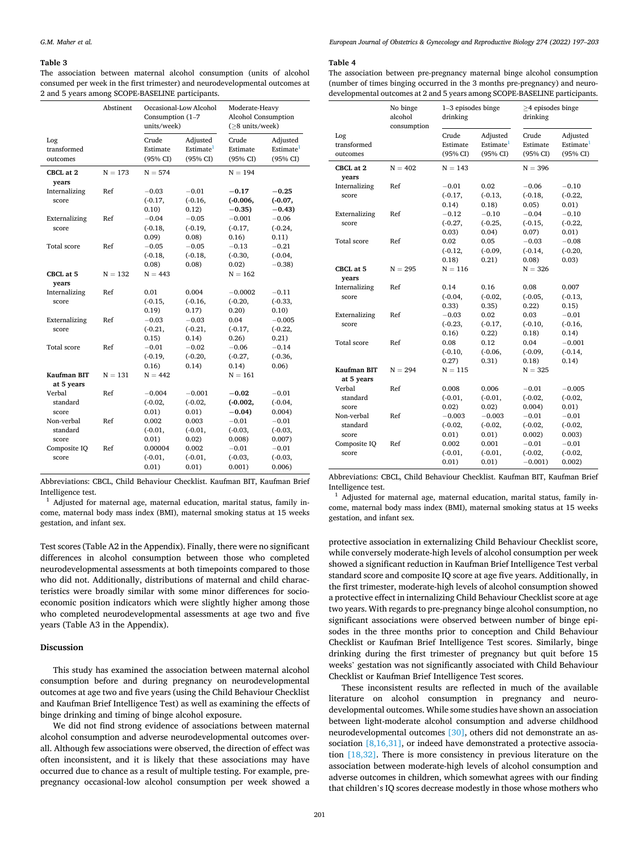#### <span id="page-4-0"></span>**Table 3**

The association between maternal alcohol consumption (units of alcohol consumed per week in the first trimester) and neurodevelopmental outcomes at 2 and 5 years among SCOPE-BASELINE participants.

|                                 | Abstinent | Occasional-Low Alcohol<br>Consumption (1-7<br>units/week) |                                               | Moderate-Heavy<br>Alcohol Consumption<br>$($ >8 units/week $)$ |                                               |
|---------------------------------|-----------|-----------------------------------------------------------|-----------------------------------------------|----------------------------------------------------------------|-----------------------------------------------|
| Log<br>transformed<br>outcomes  |           | Crude<br>Estimate<br>(95% CI)                             | Adjusted<br>Estimate <sup>1</sup><br>(95% CI) | Crude<br>Estimate<br>(95% CI)                                  | Adjusted<br>Estimate <sup>1</sup><br>(95% CI) |
| CBCL at 2<br>years              | $N = 173$ | $N = 574$                                                 |                                               | $N = 194$                                                      |                                               |
| Internalizing<br>score          | Ref       | $-0.03$<br>$(-0.17,$<br>0.10)                             | $-0.01$<br>$(-0.16,$<br>0.12)                 | $-0.17$<br>$(-0.006,$<br>$-0.35$                               | $-0.25$<br>$(-0.07,$<br>$-0.43$               |
| Externalizing<br>score          | Ref       | $-0.04$<br>$(-0.18,$<br>0.09)                             | $-0.05$<br>$(-0.19,$<br>0.08)                 | $-0.001$<br>$(-0.17,$<br>0.16)                                 | $-0.06$<br>$(-0.24,$<br>0.11)                 |
| <b>Total score</b>              | Ref       | $-0.05$<br>$(-0.18,$<br>0.08)                             | $-0.05$<br>$(-0.18,$<br>0.08)                 | $-0.13$<br>$(-0.30,$<br>0.02)                                  | $-0.21$<br>$(-0.04,$<br>$-0.38$               |
| CBCL at 5<br>years              | $N = 132$ | $N = 443$                                                 |                                               | $N = 162$                                                      |                                               |
| Internalizing<br>score          | Ref       | 0.01<br>$(-0.15,$<br>0.19)                                | 0.004<br>$(-0.16,$<br>0.17)                   | $-0.0002$<br>$(-0.20,$<br>0.20)                                | $-0.11$<br>$(-0.33,$<br>0.10)                 |
| Externalizing<br>score          | Ref       | $-0.03$<br>$(-0.21,$<br>0.15)                             | $-0.03$<br>$(-0.21,$<br>0.14)                 | 0.04<br>$(-0.17,$<br>0.26)                                     | $-0.005$<br>$(-0.22,$<br>0.21)                |
| Total score                     | Ref       | $-0.01$<br>$(-0.19,$<br>0.16)                             | $-0.02$<br>$(-0.20,$<br>0.14)                 | $-0.06$<br>$(-0.27,$<br>0.14)                                  | $-0.14$<br>$(-0.36,$<br>0.06)                 |
| Kaufman BIT<br>at 5 years       | $N = 131$ | $N = 442$                                                 |                                               | $N = 161$                                                      |                                               |
| Verbal<br>standard<br>score     | Ref       | $-0.004$<br>$(-0.02,$<br>0.01)                            | $-0.001$<br>$(-0.02,$<br>0.01)                | $-0.02$<br>$(-0.002,$<br>$-0.04$                               | $-0.01$<br>$(-0.04,$<br>0.004)                |
| Non-verbal<br>standard<br>score | Ref       | 0.002<br>$(-0.01,$<br>0.01)                               | 0.003<br>$(-0.01,$<br>0.02)                   | $-0.01$<br>$(-0.03,$<br>0.008                                  | $-0.01$<br>$(-0.03,$<br>0.007)                |
| Composite IQ<br>score           | Ref       | 0.00004<br>$(-0.01,$<br>0.01)                             | 0.002<br>$(-0.01,$<br>0.01)                   | $-0.01$<br>$(-0.03,$<br>0.001)                                 | $-0.01$<br>$(-0.03,$<br>0.006                 |

Abbreviations: CBCL, Child Behaviour Checklist. Kaufman BIT, Kaufman Brief Intelligence test.<br> $1$  Adjusted for maternal age, maternal education, marital status, family in-

come, maternal body mass index (BMI), maternal smoking status at 15 weeks gestation, and infant sex.

Test scores (Table A2 in the Appendix). Finally, there were no significant differences in alcohol consumption between those who completed neurodevelopmental assessments at both timepoints compared to those who did not. Additionally, distributions of maternal and child characteristics were broadly similar with some minor differences for socioeconomic position indicators which were slightly higher among those who completed neurodevelopmental assessments at age two and five years (Table A3 in the Appendix).

## **Discussion**

This study has examined the association between maternal alcohol consumption before and during pregnancy on neurodevelopmental outcomes at age two and five years (using the Child Behaviour Checklist and Kaufman Brief Intelligence Test) as well as examining the effects of binge drinking and timing of binge alcohol exposure.

We did not find strong evidence of associations between maternal alcohol consumption and adverse neurodevelopmental outcomes overall. Although few associations were observed, the direction of effect was often inconsistent, and it is likely that these associations may have occurred due to chance as a result of multiple testing. For example, prepregnancy occasional-low alcohol consumption per week showed a

#### **Table 4**

The association between pre-pregnancy maternal binge alcohol consumption (number of times binging occurred in the 3 months pre-pregnancy) and neurodevelopmental outcomes at 2 and 5 years among SCOPE-BASELINE participants.

|                                 | No binge<br>alcohol<br>consumption | 1-3 episodes binge<br>drinking |                                               | $\geq$ 4 episodes binge<br>drinking |                                               |
|---------------------------------|------------------------------------|--------------------------------|-----------------------------------------------|-------------------------------------|-----------------------------------------------|
| Log<br>transformed<br>outcomes  |                                    | Crude<br>Estimate<br>(95% CI)  | Adjusted<br>Estimate <sup>1</sup><br>(95% CI) | Crude<br>Estimate<br>(95% CI)       | Adjusted<br>Estimate <sup>1</sup><br>(95% CI) |
| CBCL at 2<br>years              | $N = 402$                          | $N = 143$                      |                                               | $N = 396$                           |                                               |
| Internalizing<br>score          | Ref                                | $-0.01$<br>$(-0.17,$<br>0.14)  | 0.02<br>$(-0.13,$<br>0.18)                    | $-0.06$<br>$(-0.18,$<br>0.05)       | $-0.10$<br>$(-0.22,$<br>0.01)                 |
| Externalizing<br>score          | Ref                                | $-0.12$<br>$(-0.27,$<br>0.03)  | $-0.10$<br>$(-0.25,$<br>0.04)                 | $-0.04$<br>$(-0.15,$<br>0.07)       | $-0.10$<br>$(-0.22,$<br>0.01)                 |
| <b>Total</b> score              | Ref                                | 0.02<br>$(-0.12,$<br>0.18)     | 0.05<br>$(-0.09,$<br>0.21)                    | $-0.03$<br>$(-0.14,$<br>0.08)       | $-0.08$<br>$(-0.20,$<br>0.03)                 |
| CBCL at 5<br>vears              | $N = 295$                          | $\mathrm{N}=116$               |                                               | $N = 326$                           |                                               |
| Internalizing<br>score          | Ref                                | 0.14<br>$(-0.04,$<br>0.33)     | 0.16<br>$(-0.02,$<br>0.35)                    | 0.08<br>$(-0.05,$<br>0.22)          | 0.007<br>$(-0.13,$<br>0.15)                   |
| Externalizing<br>score          | Ref                                | $-0.03$<br>$(-0.23,$<br>0.16)  | 0.02<br>$(-0.17,$<br>0.22)                    | 0.03<br>$(-0.10,$<br>0.18)          | $-0.01$<br>$(-0.16,$<br>0.14)                 |
| <b>Total score</b>              | Ref                                | 0.08<br>$(-0.10,$<br>0.27)     | 0.12<br>$(-0.06,$<br>0.31)                    | 0.04<br>$(-0.09,$<br>0.18)          | $-0.001$<br>$(-0.14,$<br>0.14)                |
| Kaufman BIT<br>at 5 years       | $N = 294$                          | $N = 115$                      |                                               | $N = 325$                           |                                               |
| Verbal<br>standard<br>score     | Ref                                | 0.008<br>$(-0.01,$<br>0.02)    | 0.006<br>$(-0.01,$<br>0.02)                   | $-0.01$<br>$(-0.02,$<br>0.004)      | $-0.005$<br>$(-0.02,$<br>0.01)                |
| Non-verbal<br>standard<br>score | Ref                                | $-0.003$<br>$(-0.02,$<br>0.01) | $-0.003$<br>$(-0.02,$<br>0.01)                | $-0.01$<br>$(-0.02,$<br>0.002)      | $-0.01$<br>$(-0.02,$<br>0.003)                |
| Composite IQ<br>score           | Ref                                | 0.002<br>$(-0.01,$<br>0.01)    | 0.001<br>$(-0.01,$<br>0.01)                   | $-0.01$<br>$(-0.02,$<br>$-0.001$ )  | $-0.01$<br>$(-0.02,$<br>0.002)                |

Abbreviations: CBCL, Child Behaviour Checklist. Kaufman BIT, Kaufman Brief Intelligence test.<br><sup>1</sup> Adjusted for maternal age, maternal education, marital status, family in-

come, maternal body mass index (BMI), maternal smoking status at 15 weeks gestation, and infant sex.

protective association in externalizing Child Behaviour Checklist score, while conversely moderate-high levels of alcohol consumption per week showed a significant reduction in Kaufman Brief Intelligence Test verbal standard score and composite IQ score at age five years. Additionally, in the first trimester, moderate-high levels of alcohol consumption showed a protective effect in internalizing Child Behaviour Checklist score at age two years. With regards to pre-pregnancy binge alcohol consumption, no significant associations were observed between number of binge episodes in the three months prior to conception and Child Behaviour Checklist or Kaufman Brief Intelligence Test scores. Similarly, binge drinking during the first trimester of pregnancy but quit before 15 weeks' gestation was not significantly associated with Child Behaviour Checklist or Kaufman Brief Intelligence Test scores.

These inconsistent results are reflected in much of the available literature on alcohol consumption in pregnancy and neurodevelopmental outcomes. While some studies have shown an association between light-moderate alcohol consumption and adverse childhood neurodevelopmental outcomes [\[30\]](#page-6-0), others did not demonstrate an as-sociation [\[8,16,31\]](#page-6-0), or indeed have demonstrated a protective association [\[18,32\].](#page-6-0) There is more consistency in previous literature on the association between moderate-high levels of alcohol consumption and adverse outcomes in children, which somewhat agrees with our finding that children's IQ scores decrease modestly in those whose mothers who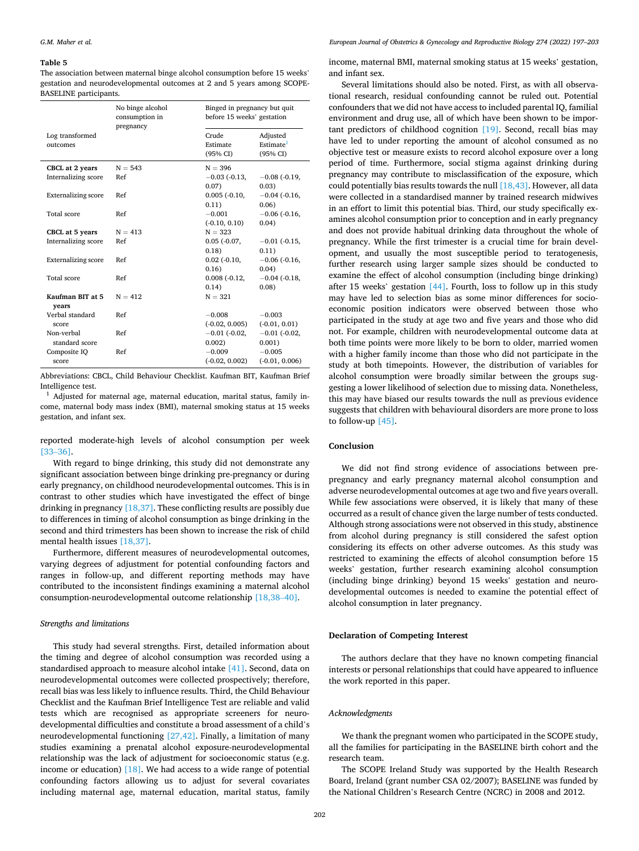#### <span id="page-5-0"></span>**Table 5**

The association between maternal binge alcohol consumption before 15 weeks' gestation and neurodevelopmental outcomes at 2 and 5 years among SCOPE-BASELINE participants.

|                             | No binge alcohol<br>consumption in<br>pregnancy | Binged in pregnancy but quit<br>before 15 weeks' gestation |                                               |
|-----------------------------|-------------------------------------------------|------------------------------------------------------------|-----------------------------------------------|
| Log transformed<br>outcomes |                                                 | Crude<br>Estimate<br>(95% CI)                              | Adjusted<br>Estimate <sup>1</sup><br>(95% CI) |
| CBCL at 2 years             | $N = 543$                                       | $N = 396$                                                  |                                               |
| Internalizing score         | Ref                                             | $-0.03$ ( $-0.13$ )                                        | $-0.08$ ( $-0.19$ )                           |
|                             |                                                 | 0.07)                                                      | 0.03)                                         |
| <b>Externalizing score</b>  | Ref                                             | $0.005$ $(-0.10,$                                          | $-0.04$ $(-0.16,$                             |
|                             |                                                 | 0.11)                                                      | 0.06                                          |
| Total score                 | Ref                                             | $-0.001$                                                   | $-0.06$ ( $-0.16$ )                           |
|                             |                                                 | $(-0.10, 0.10)$                                            | 0.04)                                         |
| CBCL at 5 years             | $N = 413$                                       | $N = 323$                                                  |                                               |
| Internalizing score         | Ref                                             | $0.05$ $(-0.07,$                                           | $-0.01$ ( $-0.15$ )                           |
|                             |                                                 | 0.18)                                                      | 0.11)                                         |
| <b>Externalizing score</b>  | Ref                                             | $0.02$ $(-0.10,$                                           | $-0.06$ ( $-0.16$ )                           |
|                             |                                                 | 0.16)                                                      | 0.04)                                         |
| Total score                 | Ref                                             | $0.008(-0.12,$                                             | $-0.04$ ( $-0.18$ )                           |
|                             |                                                 | 0.14)                                                      | 0.08                                          |
| Kaufman BIT at 5            | $N = 412$                                       | $N = 321$                                                  |                                               |
| vears                       |                                                 |                                                            |                                               |
| Verbal standard             | Ref                                             | $-0.008$                                                   | $-0.003$                                      |
| score                       |                                                 | $(-0.02, 0.005)$                                           | $(-0.01, 0.01)$                               |
| Non-verbal                  | Ref                                             | $-0.01$ ( $-0.02$ )                                        | $-0.01$ ( $-0.02$ )                           |
| standard score              |                                                 | 0.002)                                                     | 0.001)                                        |
| Composite IQ                | Ref                                             | $-0.009$                                                   | $-0.005$                                      |
| score                       |                                                 | $(-0.02, 0.002)$                                           | $(-0.01, 0.006)$                              |

Abbreviations: CBCL, Child Behaviour Checklist. Kaufman BIT, Kaufman Brief

Intelligence test.  $1$  Adjusted for maternal age, maternal education, marital status, family income, maternal body mass index (BMI), maternal smoking status at 15 weeks gestation, and infant sex.

reported moderate-high levels of alcohol consumption per week [33–[36\]](#page-6-0).

With regard to binge drinking, this study did not demonstrate any significant association between binge drinking pre-pregnancy or during early pregnancy, on childhood neurodevelopmental outcomes. This is in contrast to other studies which have investigated the effect of binge drinking in pregnancy [\[18,37\]](#page-6-0). These conflicting results are possibly due to differences in timing of alcohol consumption as binge drinking in the second and third trimesters has been shown to increase the risk of child mental health issues [\[18,37\].](#page-6-0)

Furthermore, different measures of neurodevelopmental outcomes, varying degrees of adjustment for potential confounding factors and ranges in follow-up, and different reporting methods may have contributed to the inconsistent findings examining a maternal alcohol consumption-neurodevelopmental outcome relationship [\[18,38](#page-6-0)–40].

## *Strengths and limitations*

This study had several strengths. First, detailed information about the timing and degree of alcohol consumption was recorded using a standardised approach to measure alcohol intake [\[41\]](#page-6-0). Second, data on neurodevelopmental outcomes were collected prospectively; therefore, recall bias was less likely to influence results. Third, the Child Behaviour Checklist and the Kaufman Brief Intelligence Test are reliable and valid tests which are recognised as appropriate screeners for neurodevelopmental difficulties and constitute a broad assessment of a child's neurodevelopmental functioning [\[27,42\]](#page-6-0). Finally, a limitation of many studies examining a prenatal alcohol exposure-neurodevelopmental relationship was the lack of adjustment for socioeconomic status (e.g. income or education)  $[18]$ . We had access to a wide range of potential confounding factors allowing us to adjust for several covariates including maternal age, maternal education, marital status, family

income, maternal BMI, maternal smoking status at 15 weeks' gestation, and infant sex.

Several limitations should also be noted. First, as with all observational research, residual confounding cannot be ruled out. Potential confounders that we did not have access to included parental IQ, familial environment and drug use, all of which have been shown to be important predictors of childhood cognition [\[19\]](#page-6-0). Second, recall bias may have led to under reporting the amount of alcohol consumed as no objective test or measure exists to record alcohol exposure over a long period of time. Furthermore, social stigma against drinking during pregnancy may contribute to misclassification of the exposure, which could potentially bias results towards the null [\[18,43\].](#page-6-0) However, all data were collected in a standardised manner by trained research midwives in an effort to limit this potential bias. Third, our study specifically examines alcohol consumption prior to conception and in early pregnancy and does not provide habitual drinking data throughout the whole of pregnancy. While the first trimester is a crucial time for brain development, and usually the most susceptible period to teratogenesis, further research using larger sample sizes should be conducted to examine the effect of alcohol consumption (including binge drinking) after 15 weeks' gestation  $[44]$ . Fourth, loss to follow up in this study may have led to selection bias as some minor differences for socioeconomic position indicators were observed between those who participated in the study at age two and five years and those who did not. For example, children with neurodevelopmental outcome data at both time points were more likely to be born to older, married women with a higher family income than those who did not participate in the study at both timepoints. However, the distribution of variables for alcohol consumption were broadly similar between the groups suggesting a lower likelihood of selection due to missing data. Nonetheless, this may have biased our results towards the null as previous evidence suggests that children with behavioural disorders are more prone to loss to follow-up [\[45\].](#page-6-0)

## **Conclusion**

We did not find strong evidence of associations between prepregnancy and early pregnancy maternal alcohol consumption and adverse neurodevelopmental outcomes at age two and five years overall. While few associations were observed, it is likely that many of these occurred as a result of chance given the large number of tests conducted. Although strong associations were not observed in this study, abstinence from alcohol during pregnancy is still considered the safest option considering its effects on other adverse outcomes. As this study was restricted to examining the effects of alcohol consumption before 15 weeks' gestation, further research examining alcohol consumption (including binge drinking) beyond 15 weeks' gestation and neurodevelopmental outcomes is needed to examine the potential effect of alcohol consumption in later pregnancy.

## **Declaration of Competing Interest**

The authors declare that they have no known competing financial interests or personal relationships that could have appeared to influence the work reported in this paper.

#### *Acknowledgments*

We thank the pregnant women who participated in the SCOPE study, all the families for participating in the BASELINE birth cohort and the research team.

The SCOPE Ireland Study was supported by the Health Research Board, Ireland (grant number CSA 02/2007); BASELINE was funded by the National Children's Research Centre (NCRC) in 2008 and 2012.